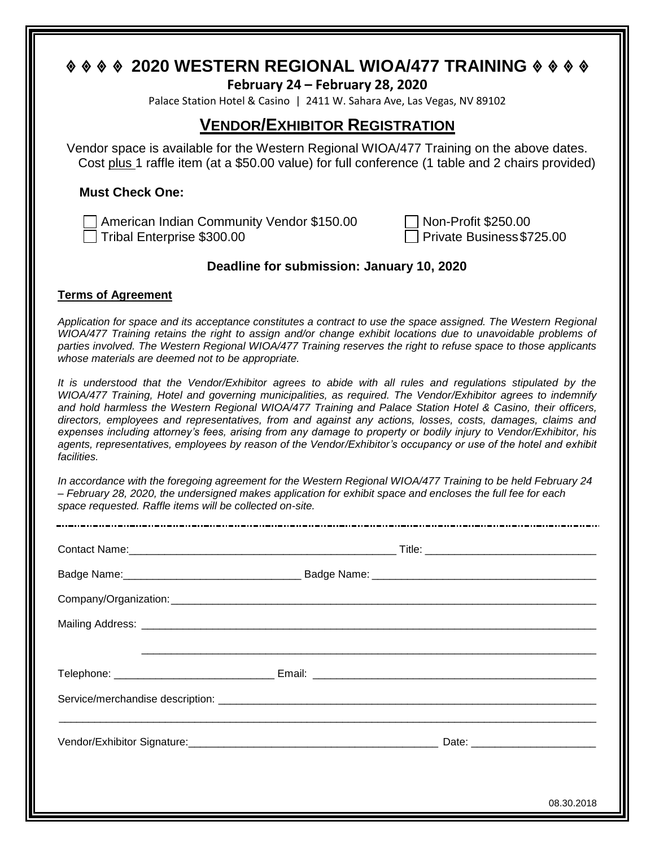# **2020 WESTERN REGIONAL WIOA/477 TRAINING**

#### **February 24 – February 28, 2020**

Palace Station Hotel & Casino | 2411 W. Sahara Ave, Las Vegas, NV 89102

# **VENDOR/EXHIBITOR REGISTRATION**

Vendor space is available for the Western Regional WIOA/477 Training on the above dates. Cost plus 1 raffle item (at a \$50.00 value) for full conference (1 table and 2 chairs provided)

### **Must Check One:**

American Indian Community Vendor \$150.00 Tribal Enterprise \$300.00 Private Business\$725.00

| Non-Profit \$250.00     |  |  |
|-------------------------|--|--|
| Private Business \$725. |  |  |

## **Deadline for submission: January 10, 2020**

#### **Terms of Agreement**

*Application for space and its acceptance constitutes a contract to use the space assigned. The Western Regional WIOA/477 Training retains the right to assign and/or change exhibit locations due to unavoidable problems of parties involved. The Western Regional WIOA/477 Training reserves the right to refuse space to those applicants whose materials are deemed not to be appropriate.*

*It is understood that the Vendor/Exhibitor agrees to abide with all rules and regulations stipulated by the WIOA/477 Training, Hotel and governing municipalities, as required. The Vendor/Exhibitor agrees to indemnify and hold harmless the Western Regional WIOA/477 Training and Palace Station Hotel & Casino, their officers, directors, employees and representatives, from and against any actions, losses, costs, damages, claims and expenses including attorney's fees, arising from any damage to property or bodily injury to Vendor/Exhibitor, his agents, representatives, employees by reason of the Vendor/Exhibitor's occupancy or use of the hotel and exhibit facilities.*

*In accordance with the foregoing agreement for the Western Regional WIOA/477 Training to be held February 24 – February 28, 2020, the undersigned makes application for exhibit space and encloses the full fee for each space requested. Raffle items will be collected on-site.*

|  | 08.30.2018 |
|--|------------|